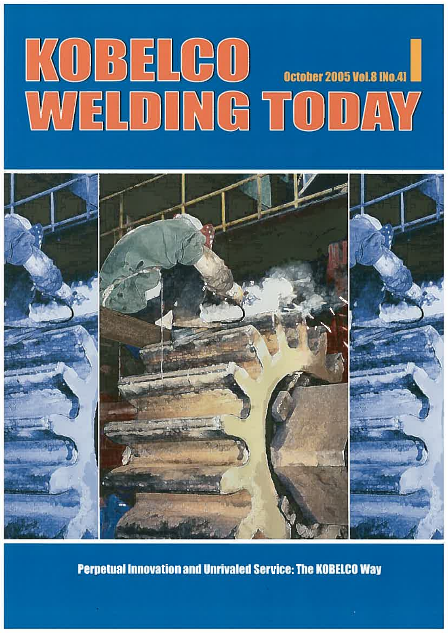# KOBELGO GEORGIA



**Perpetual Innovation and Unrivaled Service: The KOBELCO Way**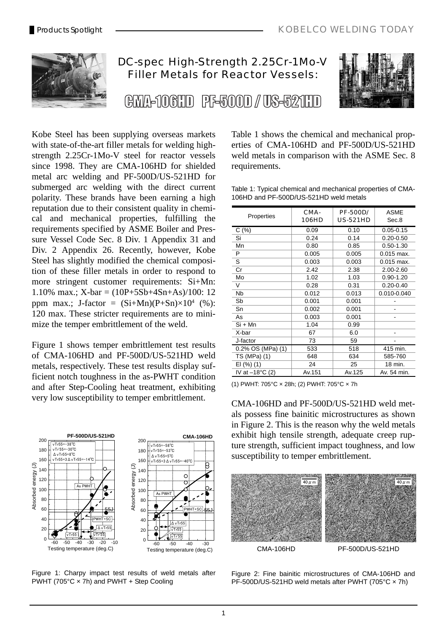

# DC-spec High-Strength 2.25Cr-1Mo-V Filler Metals for Reactor Vessels:

(BMA-106HD PE-500D / US-521HD



Kobe Steel has been supplying overseas markets with state-of-the-art filler metals for welding highstrength 2.25Cr-1Mo-V steel for reactor vessels since 1998. They are CMA-106HD for shielded metal arc welding and PF-500D/US-521HD for submerged arc welding with the direct current polarity. These brands have been earning a high reputation due to their consistent quality in chemical and mechanical properties, fulfilling the requirements specified by ASME Boiler and Pressure Vessel Code Sec. 8 Div. 1 Appendix 31 and Div. 2 Appendix 26. Recently, however, Kobe Steel has slightly modified the chemical composition of these filler metals in order to respond to more stringent customer requirements: Si+Mn: 1.10% max.;  $X$ -bar =  $(10P+5Sb+4Sn+As)/100$ : 12 ppm max.; J-factor =  $(Si+Mn)(P+Sn)\times 10^4$  (%): 120 max. These stricter requirements are to minimize the temper embrittlement of the weld.

Figure 1 shows temper embrittlement test results of CMA-106HD and PF-500D/US-521HD weld metals, respectively. These test results display sufficient notch toughness in the as-PWHT condition and after Step-Cooling heat treatment, exhibiting very low susceptibility to temper embrittlement.



Figure 1: Charpy impact test results of weld metals after PWHT (705°C × 7h) and PWHT + Step Cooling

Table 1 shows the chemical and mechanical properties of CMA-106HD and PF-500D/US-521HD weld metals in comparison with the ASME Sec. 8 requirements.

Table 1: Typical chemical and mechanical properties of CMA-106HD and PF-500D/US-521HD weld metals

| Properties                | CMA-<br><b>106HD</b> | <b>PF-500D/</b><br><b>US-521HD</b> | <b>ASME</b><br>Sec.8 |  |
|---------------------------|----------------------|------------------------------------|----------------------|--|
| C(%)                      | 0.09                 | 0.10                               | $0.05 - 0.15$        |  |
| Si                        | 0.24                 | 0.14                               | $0.20 - 0.50$        |  |
| Mn                        | 0.80                 | 0.85                               | $0.50 - 1.30$        |  |
| P                         | 0.005                | 0.005                              | $0.015$ max.         |  |
| S                         | 0.003                | 0.003                              | $0.015$ max.         |  |
| Cr                        | 2.42                 | 2.38                               | 2.00-2.60            |  |
| Mo                        | 1.02                 | 1.03                               | $0.90 - 1.20$        |  |
| V                         | 0.28                 | 0.31                               | $0.20 - 0.40$        |  |
| <b>N<sub>b</sub></b>      | 0.012                | 0.013                              | 0.010-0.040          |  |
| Sb                        | 0.001                | 0.001                              |                      |  |
| Sn                        | 0.002                | 0.001                              |                      |  |
| As                        | 0.003                | 0.001                              |                      |  |
| Si + Mn                   | 1.04                 | 0.99                               |                      |  |
| X-bar                     | 67                   | 6.0                                |                      |  |
| J-factor                  | 73                   | 59                                 |                      |  |
| 0.2% OS (MPa) (1)         | 533                  | 518                                | 415 min.             |  |
| TS (MPa) (1)              | 648                  | 634                                | 585-760              |  |
| EI (%) (1)                | 24                   | 25                                 | 18 min.              |  |
| IV at $-18^{\circ}$ C (2) | Av.151               | Av.125                             | Av. 54 min.          |  |

(1) PWHT: 705°C × 28h; (2) PWHT: 705°C × 7h

CMA-106HD and PF-500D/US-521HD weld metals possess fine bainitic microstructures as shown in Figure 2. This is the reason why the weld metals exhibit high tensile strength, adequate creep rupture strength, sufficient impact toughness, and low susceptibility to temper embrittlement.



Figure 2: Fine bainitic microstructures of CMA-106HD and PF-500D/US-521HD weld metals after PWHT (705°C × 7h)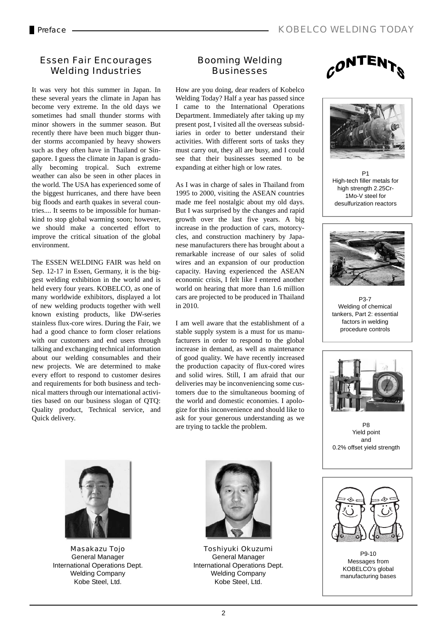#### Essen Fair Encourages Welding Industries

It was very hot this summer in Japan. In these several years the climate in Japan has become very extreme. In the old days we sometimes had small thunder storms with minor showers in the summer season. But recently there have been much bigger thunder storms accompanied by heavy showers such as they often have in Thailand or Singapore. I guess the climate in Japan is gradually becoming tropical. Such extreme weather can also be seen in other places in the world. The USA has experienced some of the biggest hurricanes, and there have been big floods and earth quakes in several countries.... It seems to be impossible for humankind to stop global warming soon; however, we should make a concerted effort to improve the critical situation of the global environment.

The ESSEN WELDING FAIR was held on Sep. 12-17 in Essen, Germany, it is the biggest welding exhibition in the world and is held every four years. KOBELCO, as one of many worldwide exhibitors, displayed a lot of new welding products together with well known existing products, like DW-series stainless flux-core wires. During the Fair, we had a good chance to form closer relations with our customers and end users through talking and exchanging technical information about our welding consumables and their new projects. We are determined to make every effort to respond to customer desires and requirements for both business and technical matters through our international activities based on our business slogan of QTQ: Quality product, Technical service, and Quick delivery.

#### Booming Welding **Businesses**

How are you doing, dear readers of Kobelco Welding Today? Half a year has passed since I came to the International Operations Department. Immediately after taking up my present post, I visited all the overseas subsidiaries in order to better understand their activities. With different sorts of tasks they must carry out, they all are busy, and I could see that their businesses seemed to be expanding at either high or low rates.

As I was in charge of sales in Thailand from 1995 to 2000, visiting the ASEAN countries made me feel nostalgic about my old days. But I was surprised by the changes and rapid growth over the last five years. A big increase in the production of cars, motorcycles, and construction machinery by Japanese manufacturers there has brought about a remarkable increase of our sales of solid wires and an expansion of our production capacity. Having experienced the ASEAN economic crisis, I felt like I entered another world on hearing that more than 1.6 million cars are projected to be produced in Thailand in 2010.

I am well aware that the establishment of a stable supply system is a must for us manufacturers in order to respond to the global increase in demand, as well as maintenance of good quality. We have recently increased the production capacity of flux-cored wires and solid wires. Still, I am afraid that our deliveries may be inconveniencing some customers due to the simultaneous booming of the world and domestic economies. I apologize for this inconvenience and should like to ask for your generous understanding as we are trying to tackle the problem.



Masakazu Tojo General Manager International Operations Dept. Welding Company Kobe Steel, Ltd.



Toshiyuki Okuzumi General Manager International Operations Dept. Welding Company Kobe Steel, Ltd.





P1 High-tech filler metals for high strength 2.25Cr-1Mo-V steel for desulfurization reactors



P3-7 Welding of chemical tankers, Part 2: essential factors in welding procedure controls



P8 Yield point and 0.2% offset yield strength



P9-10 Messages from KOBELCO's global manufacturing bases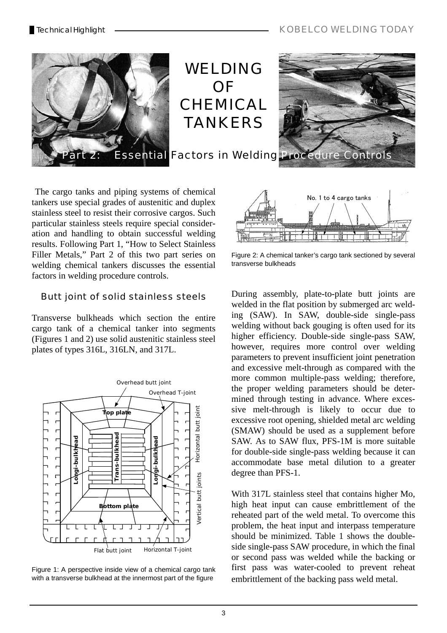

WELDING OF **CHEMICAL** TANKERS



 The cargo tanks and piping systems of chemical tankers use special grades of austenitic and duplex stainless steel to resist their corrosive cargos. Such particular stainless steels require special consideration and handling to obtain successful welding results. Following Part 1, "How to Select Stainless Filler Metals," Part 2 of this two part series on welding chemical tankers discusses the essential factors in welding procedure controls.

## Butt joint of solid stainless steels

Transverse bulkheads which section the entire cargo tank of a chemical tanker into segments (Figures 1 and 2) use solid austenitic stainless steel plates of types 316L, 316LN, and 317L.



Figure 1: A perspective inside view of a chemical cargo tank with a transverse bulkhead at the innermost part of the figure



Figure 2: A chemical tanker's cargo tank sectioned by several transverse bulkheads

During assembly, plate-to-plate butt joints are welded in the flat position by submerged arc welding (SAW). In SAW, double-side single-pass welding without back gouging is often used for its higher efficiency. Double-side single-pass SAW, however, requires more control over welding parameters to prevent insufficient joint penetration and excessive melt-through as compared with the more common multiple-pass welding; therefore, the proper welding parameters should be determined through testing in advance. Where excessive melt-through is likely to occur due to excessive root opening, shielded metal arc welding (SMAW) should be used as a supplement before SAW. As to SAW flux, PFS-1M is more suitable for double-side single-pass welding because it can accommodate base metal dilution to a greater degree than PFS-1.

With 317L stainless steel that contains higher Mo, high heat input can cause embrittlement of the reheated part of the weld metal. To overcome this problem, the heat input and interpass temperature should be minimized. Table 1 shows the doubleside single-pass SAW procedure, in which the final or second pass was welded while the backing or first pass was water-cooled to prevent reheat embrittlement of the backing pass weld metal.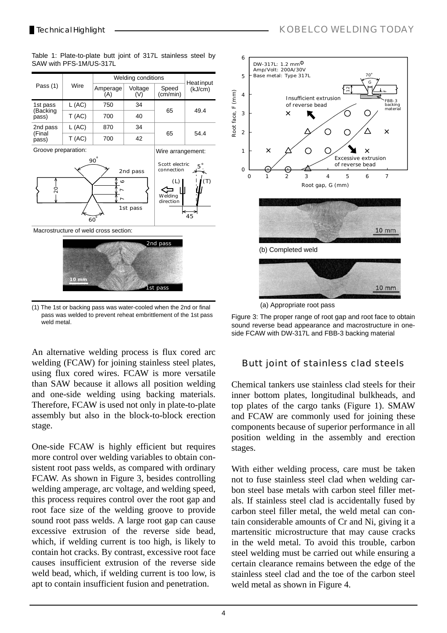SAW with PFS-1M/US-317L

Technical Highlight **All According to the Contract of the Contract of Top AY KOBELCO WELDING TODAY** 

Welding conditions<br>
Amperage Voltage Speed (KJ/cm)<br>
(A) (V) (cm/min) Pass (1) Wire Voltage Speed (V) (cm/min)  $L (AC)$  750 34 1st pass  $65$   $494$ (Backing  $T (AC)$  700 40 pass) 2nd pass  $L (AC)$  870 34 65 54.4 (Final  $T (AC)$  700 42 pass) Groove preparation: Wire arrangement: 90° Scott electric  $5^\circ$ . connection 2nd pass  $\epsilon$  $(L)$ <⇒ Macrostructure of weld cross section:  $\overline{ }$ Welding  $\overline{ }$ direction 1st pass 45 60° 2nd pass

Table 1: Plate-to-plate butt joint of 317L stainless steel by

et nac **10 mm**

(1) The 1st or backing pass was water-cooled when the 2nd or final pass was welded to prevent reheat embrittlement of the 1st pass weld metal.

An alternative welding process is flux cored arc welding (FCAW) for joining stainless steel plates, using flux cored wires. FCAW is more versatile than SAW because it allows all position welding and one-side welding using backing materials. Therefore, FCAW is used not only in plate-to-plate assembly but also in the block-to-block erection stage.

One-side FCAW is highly efficient but requires more control over welding variables to obtain consistent root pass welds, as compared with ordinary FCAW. As shown in Figure 3, besides controlling welding amperage, arc voltage, and welding speed, this process requires control over the root gap and root face size of the welding groove to provide sound root pass welds. A large root gap can cause excessive extrusion of the reverse side bead, which, if welding current is too high, is likely to contain hot cracks. By contrast, excessive root face causes insufficient extrusion of the reverse side weld bead, which, if welding current is too low, is apt to contain insufficient fusion and penetration.



Figure 3: The proper range of root gap and root face to obtain sound reverse bead appearance and macrostructure in oneside FCAW with DW-317L and FBB-3 backing material

# Butt joint of stainless clad steels

Chemical tankers use stainless clad steels for their inner bottom plates, longitudinal bulkheads, and top plates of the cargo tanks (Figure 1). SMAW and FCAW are commonly used for joining these components because of superior performance in all position welding in the assembly and erection stages.

With either welding process, care must be taken not to fuse stainless steel clad when welding carbon steel base metals with carbon steel filler metals. If stainless steel clad is accidentally fused by carbon steel filler metal, the weld metal can contain considerable amounts of Cr and Ni, giving it a martensitic microstructure that may cause cracks in the weld metal. To avoid this trouble, carbon steel welding must be carried out while ensuring a certain clearance remains between the edge of the stainless steel clad and the toe of the carbon steel weld metal as shown in Figure 4.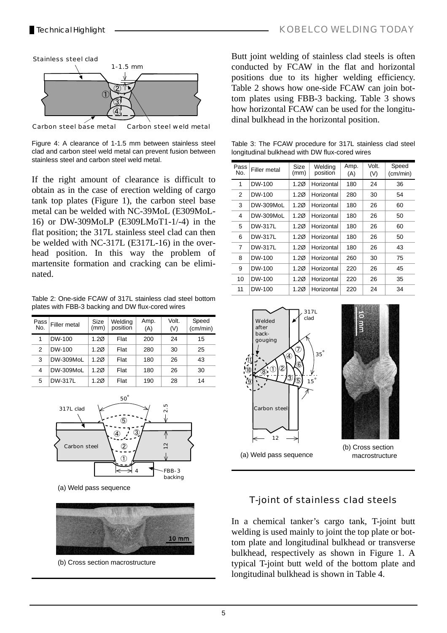

Carbon steel base metal Carbon steel weld metal

Figure 4: A clearance of 1-1.5 mm between stainless steel clad and carbon steel weld metal can prevent fusion between stainless steel and carbon steel weld metal.

If the right amount of clearance is difficult to obtain as in the case of erection welding of cargo tank top plates (Figure 1), the carbon steel base metal can be welded with NC-39MoL (E309MoL-16) or DW-309MoLP (E309LMoT1-1/-4) in the flat position; the 317L stainless steel clad can then be welded with NC-317L (E317L-16) in the overhead position. In this way the problem of martensite formation and cracking can be eliminated.

Table 2: One-side FCAW of 317L stainless clad steel bottom plates with FBB-3 backing and DW flux-cored wires

| Pass <sup>®</sup><br>No. | Filler metal | Size<br>(mm)     | Welding<br>position | Amp.<br>(A) | Volt.<br>(V) | Speed<br>(cm/min) |
|--------------------------|--------------|------------------|---------------------|-------------|--------------|-------------------|
| 1                        | DW-100       | 1.2 <sub>Ø</sub> | Flat                | 200         | 24           | 15                |
| $\mathcal{P}$            | DW-100       | 1.2 <sub>Ø</sub> | Flat                | 280         | 30           | 25                |
| 3                        | DW-309MoL    | 1.20             | Flat                | 180         | 26           | 43                |
| 4                        | DW-309MoL    | 1.2 <sub>Ø</sub> | Flat                | 180         | 26           | 30                |
| 5                        | DW-317L      | 1.2 <sub>Ø</sub> | Flat                | 190         | 28           | 14                |



(a) Weld pass sequence



(b) Cross section macrostructure

Butt joint welding of stainless clad steels is often conducted by FCAW in the flat and horizontal positions due to its higher welding efficiency. Table 2 shows how one-side FCAW can join bottom plates using FBB-3 backing. Table 3 shows how horizontal FCAW can be used for the longitudinal bulkhead in the horizontal position.

Table 3: The FCAW procedure for 317L stainless clad steel longitudinal bulkhead with DW flux-cored wires

| Pass<br>No.    | Filler metal | Size<br>(mm)     | Welding<br>position | Amp.<br>(A) | Volt.<br>(V) | Speed<br>(cm/min) |
|----------------|--------------|------------------|---------------------|-------------|--------------|-------------------|
| 1              | DW-100       | 1.2 <sub>Ø</sub> | Horizontal          | 180         | 24           | 36                |
| 2              | DW-100       | 1.2 <sub>Ø</sub> | Horizontal          | 280         | 30           | 54                |
| 3              | DW-309MoL    | 1.20             | Horizontal          | 180         | 26           | 60                |
| 4              | DW-309MoL    | 1.20             | Horizontal          | 180         | 26           | 50                |
| 5              | DW-317L      | 1.20             | Horizontal          | 180         | 26           | 60                |
| 6              | DW-317L      | 1.2 <sub>Ø</sub> | Horizontal          | 180         | 26           | 50                |
| $\overline{7}$ | DW-317L      | 1.2 <sub>Ø</sub> | Horizontal          | 180         | 26           | 43                |
| 8              | DW-100       | 1.2 <sub>Ø</sub> | Horizontal          | 260         | 30           | 75                |
| 9              | DW-100       | 1.2 <sub>Ø</sub> | Horizontal          | 220         | 26           | 45                |
| 10             | DW-100       | 1.20             | Horizontal          | 220         | 26           | 35                |
| 11             | DW-100       | 1.20             | Horizontal          | 220         | 24           | 34                |





(b) Cross section macrostructure

## T-joint of stainless clad steels

In a chemical tanker's cargo tank, T-joint butt welding is used mainly to joint the top plate or bottom plate and longitudinal bulkhead or transverse bulkhead, respectively as shown in Figure 1. A typical T-joint butt weld of the bottom plate and longitudinal bulkhead is shown in Table 4.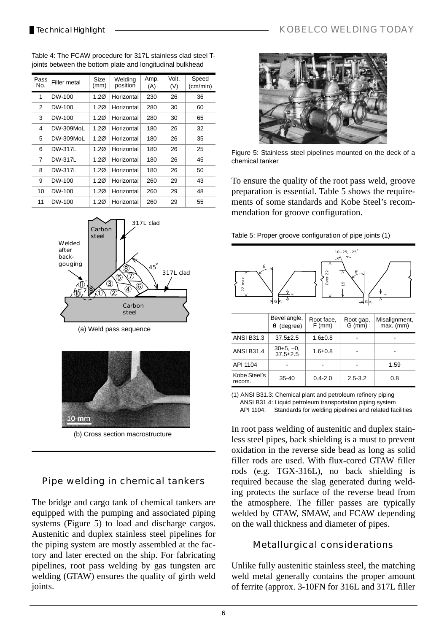| Pass<br>No. | Filler metal   | Size<br>(mm)     | Welding<br>position | Amp.<br>(A) | Volt.<br>(V) | Speed<br>(cm/min) |
|-------------|----------------|------------------|---------------------|-------------|--------------|-------------------|
| 1           | DW-100         | 1.20             | Horizontal          | 230         | 26           | 36                |
| 2           | DW-100         | 1.20             | Horizontal          | 280         | 30           | 60                |
| 3           | DW-100         | 1.20             | Horizontal          | 280         | 30           | 65                |
| 4           | DW-309MoL      | 1.20             | Horizontal          | 180         | 26           | 32                |
| 5           | DW-309MoL      | 1.20             | Horizontal          | 180         | 26           | 35                |
| 6           | DW-317L        | 1.2 <sub>Ø</sub> | Horizontal          | 180         | 26           | 25                |
| 7           | <b>DW-317L</b> | 1.2 <sub>Ø</sub> | Horizontal          | 180         | 26           | 45                |
| 8           | DW-317L        | 1.2 <sub>Ø</sub> | Horizontal          | 180         | 26           | 50                |
| 9           | DW-100         | 1.20             | Horizontal          | 260         | 29           | 43                |
| 10          | DW-100         | 1.20             | Horizontal          | 260         | 29           | 48                |
| 11          | DW-100         | 1.20             | Horizontal          | 260         | 29           | 55                |

Table 4: The FCAW procedure for 317L stainless clad steel Tjoints between the bottom plate and longitudinal bulkhead



(a) Weld pass sequence



(b) Cross section macrostructure

## Pipe welding in chemical tankers

The bridge and cargo tank of chemical tankers are equipped with the pumping and associated piping systems (Figure 5) to load and discharge cargos. Austenitic and duplex stainless steel pipelines for the piping system are mostly assembled at the factory and later erected on the ship. For fabricating pipelines, root pass welding by gas tungsten arc welding (GTAW) ensures the quality of girth weld joints.



Figure 5: Stainless steel pipelines mounted on the deck of a chemical tanker

To ensure the quality of the root pass weld, groove preparation is essential. Table 5 shows the requirements of some standards and Kobe Steel's recommendation for groove configuration.

Table 5: Proper groove configuration of pipe joints (1)



(1) ANSI B31.3: Chemical plant and petroleum refinery piping ANSI B31.4: Liquid petroleum transportation piping system API 1104: Standards for welding pipelines and related facilities

In root pass welding of austenitic and duplex stainless steel pipes, back shielding is a must to prevent oxidation in the reverse side bead as long as solid filler rods are used. With flux-cored GTAW filler rods (e.g. TGX-316L), no back shielding is required because the slag generated during welding protects the surface of the reverse bead from the atmosphere. The filler passes are typically welded by GTAW, SMAW, and FCAW depending on the wall thickness and diameter of pipes.

## Metallurgical considerations

Unlike fully austenitic stainless steel, the matching weld metal generally contains the proper amount of ferrite (approx. 3-10FN for 316L and 317L filler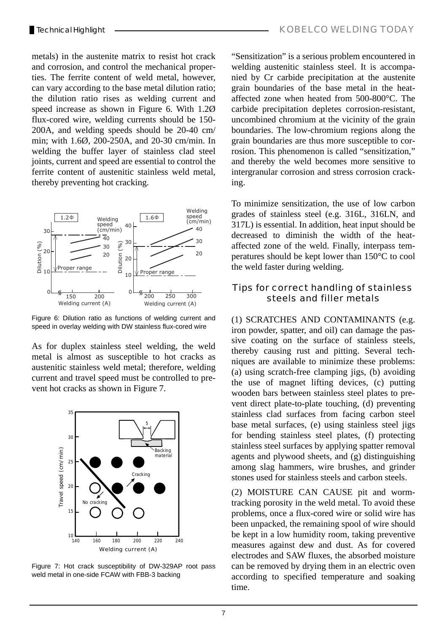metals) in the austenite matrix to resist hot crack and corrosion, and control the mechanical properties. The ferrite content of weld metal, however, can vary according to the base metal dilution ratio; the dilution ratio rises as welding current and speed increase as shown in Figure 6. With 1.2Ø flux-cored wire, welding currents should be 150- 200A, and welding speeds should be 20-40 cm/ min; with 1.6Ø, 200-250A, and 20-30 cm/min. In welding the buffer layer of stainless clad steel joints, current and speed are essential to control the ferrite content of austenitic stainless weld metal, thereby preventing hot cracking.



Figure 6: Dilution ratio as functions of welding current and speed in overlay welding with DW stainless flux-cored wire

As for duplex stainless steel welding, the weld metal is almost as susceptible to hot cracks as austenitic stainless weld metal; therefore, welding current and travel speed must be controlled to prevent hot cracks as shown in Figure 7.



Figure 7: Hot crack susceptibility of DW-329AP root pass weld metal in one-side FCAW with FBB-3 backing

"Sensitization" is a serious problem encountered in welding austenitic stainless steel. It is accompanied by Cr carbide precipitation at the austenite grain boundaries of the base metal in the heataffected zone when heated from 500-800°C. The carbide precipitation depletes corrosion-resistant, uncombined chromium at the vicinity of the grain boundaries. The low-chromium regions along the grain boundaries are thus more susceptible to corrosion. This phenomenon is called "sensitization," and thereby the weld becomes more sensitive to intergranular corrosion and stress corrosion cracking.

To minimize sensitization, the use of low carbon grades of stainless steel (e.g. 316L, 316LN, and 317L) is essential. In addition, heat input should be decreased to diminish the width of the heataffected zone of the weld. Finally, interpass temperatures should be kept lower than 150°C to cool the weld faster during welding.

#### Tips for correct handling of stainless steels and filler metals

(1) SCRATCHES AND CONTAMINANTS (e.g. iron powder, spatter, and oil) can damage the passive coating on the surface of stainless steels, thereby causing rust and pitting. Several techniques are available to minimize these problems: (a) using scratch-free clamping jigs, (b) avoiding the use of magnet lifting devices, (c) putting wooden bars between stainless steel plates to prevent direct plate-to-plate touching, (d) preventing stainless clad surfaces from facing carbon steel base metal surfaces, (e) using stainless steel jigs for bending stainless steel plates, (f) protecting stainless steel surfaces by applying spatter removal agents and plywood sheets, and (g) distinguishing among slag hammers, wire brushes, and grinder stones used for stainless steels and carbon steels.

(2) MOISTURE CAN CAUSE pit and wormtracking porosity in the weld metal. To avoid these problems, once a flux-cored wire or solid wire has been unpacked, the remaining spool of wire should be kept in a low humidity room, taking preventive measures against dew and dust. As for covered electrodes and SAW fluxes, the absorbed moisture can be removed by drying them in an electric oven according to specified temperature and soaking time.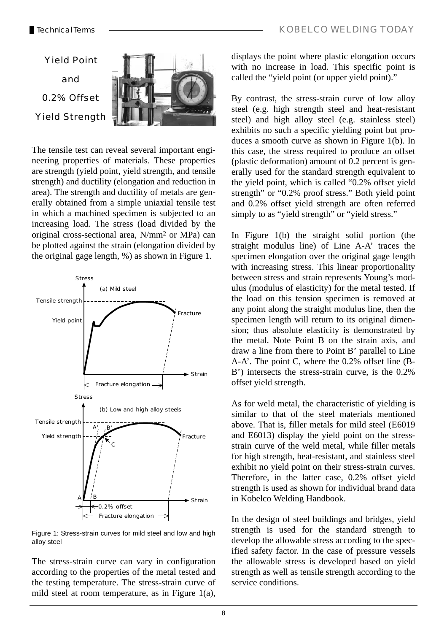

The tensile test can reveal several important engineering properties of materials. These properties are strength (yield point, yield strength, and tensile strength) and ductility (elongation and reduction in area). The strength and ductility of metals are generally obtained from a simple uniaxial tensile test in which a machined specimen is subjected to an increasing load. The stress (load divided by the original cross-sectional area, N/mm2 or MPa) can be plotted against the strain (elongation divided by the original gage length, %) as shown in Figure 1.



Figure 1: Stress-strain curves for mild steel and low and high alloy steel

The stress-strain curve can vary in configuration according to the properties of the metal tested and the testing temperature. The stress-strain curve of mild steel at room temperature, as in Figure 1(a),

displays the point where plastic elongation occurs with no increase in load. This specific point is called the "yield point (or upper yield point)."

By contrast, the stress-strain curve of low alloy steel (e.g. high strength steel and heat-resistant steel) and high alloy steel (e.g. stainless steel) exhibits no such a specific yielding point but produces a smooth curve as shown in Figure 1(b). In this case, the stress required to produce an offset (plastic deformation) amount of 0.2 percent is generally used for the standard strength equivalent to the yield point, which is called "0.2% offset yield strength" or "0.2% proof stress." Both yield point and 0.2% offset yield strength are often referred simply to as "yield strength" or "yield stress."

In Figure 1(b) the straight solid portion (the straight modulus line) of Line A-A' traces the specimen elongation over the original gage length with increasing stress. This linear proportionality between stress and strain represents Young's modulus (modulus of elasticity) for the metal tested. If the load on this tension specimen is removed at any point along the straight modulus line, then the specimen length will return to its original dimension; thus absolute elasticity is demonstrated by the metal. Note Point B on the strain axis, and draw a line from there to Point B' parallel to Line A-A'. The point C, where the 0.2% offset line (B-B') intersects the stress-strain curve, is the 0.2% offset yield strength.

As for weld metal, the characteristic of yielding is similar to that of the steel materials mentioned above. That is, filler metals for mild steel (E6019 and E6013) display the yield point on the stressstrain curve of the weld metal, while filler metals for high strength, heat-resistant, and stainless steel exhibit no yield point on their stress-strain curves. Therefore, in the latter case, 0.2% offset yield strength is used as shown for individual brand data in Kobelco Welding Handbook.

In the design of steel buildings and bridges, yield strength is used for the standard strength to develop the allowable stress according to the specified safety factor. In the case of pressure vessels the allowable stress is developed based on yield strength as well as tensile strength according to the service conditions.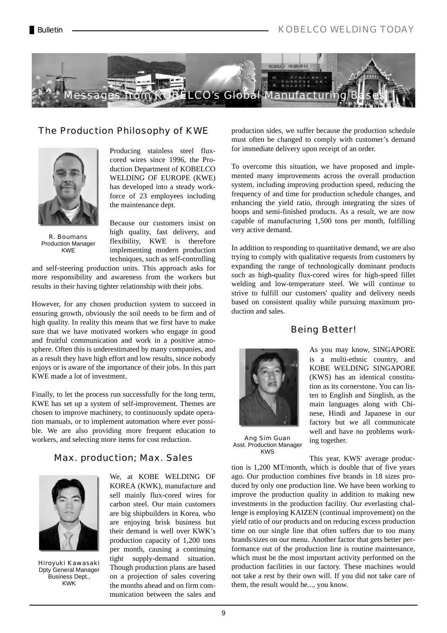

#### The Production Philosophy of KWE



Producing stainless steel fluxcored wires since 1996, the Production Department of KOBELCO WELDING OF EUROPE (KWE) has developed into a steady workforce of 23 employees including the maintenance dept.

R. Boumans Production Manager KWE

Because our customers insist on high quality, fast delivery, and flexibility, KWE is therefore implementing modern production techniques, such as self-controlling

and self-steering production units. This approach asks for more responsibility and awareness from the workers but results in their having tighter relationship with their jobs.

However, for any chosen production system to succeed in ensuring growth, obviously the soil needs to be firm and of high quality. In reality this means that we first have to make sure that we have motivated workers who engage in good and fruitful communication and work in a positive atmosphere. Often this is underestimated by many companies, and as a result they have high effort and low results, since nobody enjoys or is aware of the importance of their jobs. In this part KWE made a lot of investment.

Finally, to let the process run successfully for the long term, KWE has set up a system of self-improvement. Themes are chosen to improve machinery, to continuously update operation manuals, or to implement automation where ever possible. We are also providing more frequent education to workers, and selecting more items for cost reduction.

#### Max. production; Max. Sales



Hiroyuki Kawasaki Dpty General Manager Business Dept., KWK

We, at KOBE WELDING OF KOREA (KWK), manufacture and sell mainly flux-cored wires for carbon steel. Our main customers are big shipbuilders in Korea, who are enjoying brisk business but their demand is well over KWK's production capacity of 1,200 tons per month, causing a continuing tight supply-demand situation. Though production plans are based on a projection of sales covering the months ahead and on firm communication between the sales and

production sides, we suffer because the production schedule must often be changed to comply with customer's demand for immediate delivery upon receipt of an order.

To overcome this situation, we have proposed and implemented many improvements across the overall production system, including improving production speed, reducing the frequency of and time for production schedule changes, and enhancing the yield ratio, through integrating the sizes of hoops and semi-finished products. As a result, we are now capable of manufacturing 1,500 tons per month, fulfilling very active demand.

In addition to responding to quantitative demand, we are also trying to comply with qualitative requests from customers by expanding the range of technologically dominant products such as high-quality flux-cored wires for high-speed fillet welding and low-temperature steel. We will continue to strive to fulfill our customers' quality and delivery needs based on consistent quality while pursuing maximum production and sales.

#### Being Better!



Ang Sim Guan Asst. Production Manager KWS

As you may know, SINGAPORE is a multi-ethnic country, and KOBE WELDING SINGAPORE (KWS) has an identical constitution as its cornerstone. You can listen to English and Singlish, as the main languages along with Chinese, Hindi and Japanese in our factory but we all communicate well and have no problems working together.

This year, KWS' average production is 1,200 MT/month, which is double that of five years ago. Our production combines five brands in 18 sizes produced by only one production line. We have been working to improve the production quality in addition to making new investments in the production facility. Our everlasting challenge is employing KAIZEN (continual improvement) on the yield ratio of our products and on reducing excess production time on our single line that often suffers due to too many brands/sizes on our menu. Another factor that gets better performance out of the production line is routine maintenance, which must be the most important activity performed on the production facilities in our factory. These machines would not take a rest by their own will. If you did not take care of them, the result would be..., you know.